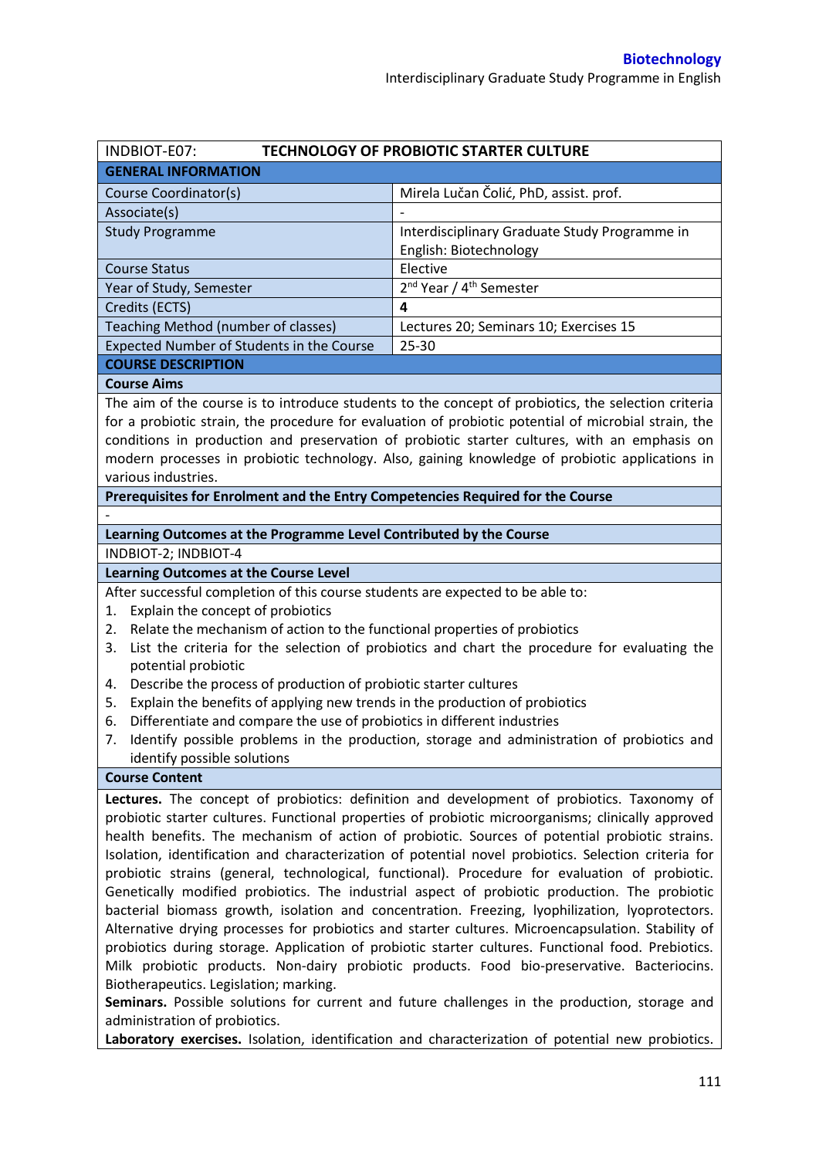| INDBIOT-E07:                                                                                                                                                                    | <b>TECHNOLOGY OF PROBIOTIC STARTER CULTURE</b>                                                       |  |  |
|---------------------------------------------------------------------------------------------------------------------------------------------------------------------------------|------------------------------------------------------------------------------------------------------|--|--|
| <b>GENERAL INFORMATION</b>                                                                                                                                                      |                                                                                                      |  |  |
| Course Coordinator(s)                                                                                                                                                           | Mirela Lučan Čolić, PhD, assist. prof.                                                               |  |  |
| Associate(s)                                                                                                                                                                    |                                                                                                      |  |  |
| <b>Study Programme</b>                                                                                                                                                          | Interdisciplinary Graduate Study Programme in                                                        |  |  |
|                                                                                                                                                                                 | English: Biotechnology                                                                               |  |  |
| <b>Course Status</b>                                                                                                                                                            | Elective                                                                                             |  |  |
| Year of Study, Semester                                                                                                                                                         | 2 <sup>nd</sup> Year / 4 <sup>th</sup> Semester                                                      |  |  |
| Credits (ECTS)                                                                                                                                                                  | 4                                                                                                    |  |  |
| Teaching Method (number of classes)                                                                                                                                             | Lectures 20; Seminars 10; Exercises 15                                                               |  |  |
| Expected Number of Students in the Course                                                                                                                                       | 25-30                                                                                                |  |  |
| <b>COURSE DESCRIPTION</b>                                                                                                                                                       |                                                                                                      |  |  |
| <b>Course Aims</b>                                                                                                                                                              |                                                                                                      |  |  |
|                                                                                                                                                                                 | The aim of the course is to introduce students to the concept of probiotics, the selection criteria  |  |  |
|                                                                                                                                                                                 | for a probiotic strain, the procedure for evaluation of probiotic potential of microbial strain, the |  |  |
|                                                                                                                                                                                 | conditions in production and preservation of probiotic starter cultures, with an emphasis on         |  |  |
|                                                                                                                                                                                 | modern processes in probiotic technology. Also, gaining knowledge of probiotic applications in       |  |  |
| various industries.                                                                                                                                                             |                                                                                                      |  |  |
| Prerequisites for Enrolment and the Entry Competencies Required for the Course                                                                                                  |                                                                                                      |  |  |
|                                                                                                                                                                                 |                                                                                                      |  |  |
| Learning Outcomes at the Programme Level Contributed by the Course                                                                                                              |                                                                                                      |  |  |
| INDBIOT-2; INDBIOT-4                                                                                                                                                            |                                                                                                      |  |  |
| <b>Learning Outcomes at the Course Level</b>                                                                                                                                    |                                                                                                      |  |  |
| After successful completion of this course students are expected to be able to:                                                                                                 |                                                                                                      |  |  |
| Explain the concept of probiotics<br>1.                                                                                                                                         |                                                                                                      |  |  |
| Relate the mechanism of action to the functional properties of probiotics<br>2.<br>List the criteria for the selection of probiotics and chart the procedure for evaluating the |                                                                                                      |  |  |
| 3.                                                                                                                                                                              |                                                                                                      |  |  |
| potential probiotic<br>Describe the process of production of probiotic starter cultures<br>4.                                                                                   |                                                                                                      |  |  |
| Explain the benefits of applying new trends in the production of probiotics<br>5.                                                                                               |                                                                                                      |  |  |
| Differentiate and compare the use of probiotics in different industries<br>6.                                                                                                   |                                                                                                      |  |  |
| 7.                                                                                                                                                                              | Identify possible problems in the production, storage and administration of probiotics and           |  |  |
| identify possible solutions                                                                                                                                                     |                                                                                                      |  |  |
| <b>Course Content</b>                                                                                                                                                           |                                                                                                      |  |  |
|                                                                                                                                                                                 | Lectures. The concept of probiotics: definition and development of probiotics. Taxonomy of           |  |  |
|                                                                                                                                                                                 | probiotic starter cultures. Functional properties of probiotic microorganisms; clinically approved   |  |  |
|                                                                                                                                                                                 | health benefits. The mechanism of action of probiotic. Sources of potential probiotic strains.       |  |  |
|                                                                                                                                                                                 | Isolation, identification and characterization of potential novel probiotics. Selection criteria for |  |  |
|                                                                                                                                                                                 | probiotic strains (general, technological, functional). Procedure for evaluation of probiotic.       |  |  |
|                                                                                                                                                                                 | Genetically modified probiotics. The industrial aspect of probiotic production. The probiotic        |  |  |
|                                                                                                                                                                                 | bacterial biomass growth, isolation and concentration. Freezing, lyophilization, lyoprotectors.      |  |  |
|                                                                                                                                                                                 | Alternative drying processes for probiotics and starter cultures. Microencapsulation. Stability of   |  |  |
|                                                                                                                                                                                 | probiotics during storage. Application of probiotic starter cultures. Functional food. Prebiotics.   |  |  |
|                                                                                                                                                                                 | Milk probiotic products. Non-dairy probiotic products. Food bio-preservative. Bacteriocins.          |  |  |
| Biotherapeutics. Legislation; marking.                                                                                                                                          |                                                                                                      |  |  |
|                                                                                                                                                                                 | Seminars. Possible solutions for current and future challenges in the production, storage and        |  |  |
| administration of probiotics.                                                                                                                                                   |                                                                                                      |  |  |

**Laboratory exercises.** Isolation, identification and characterization of potential new probiotics.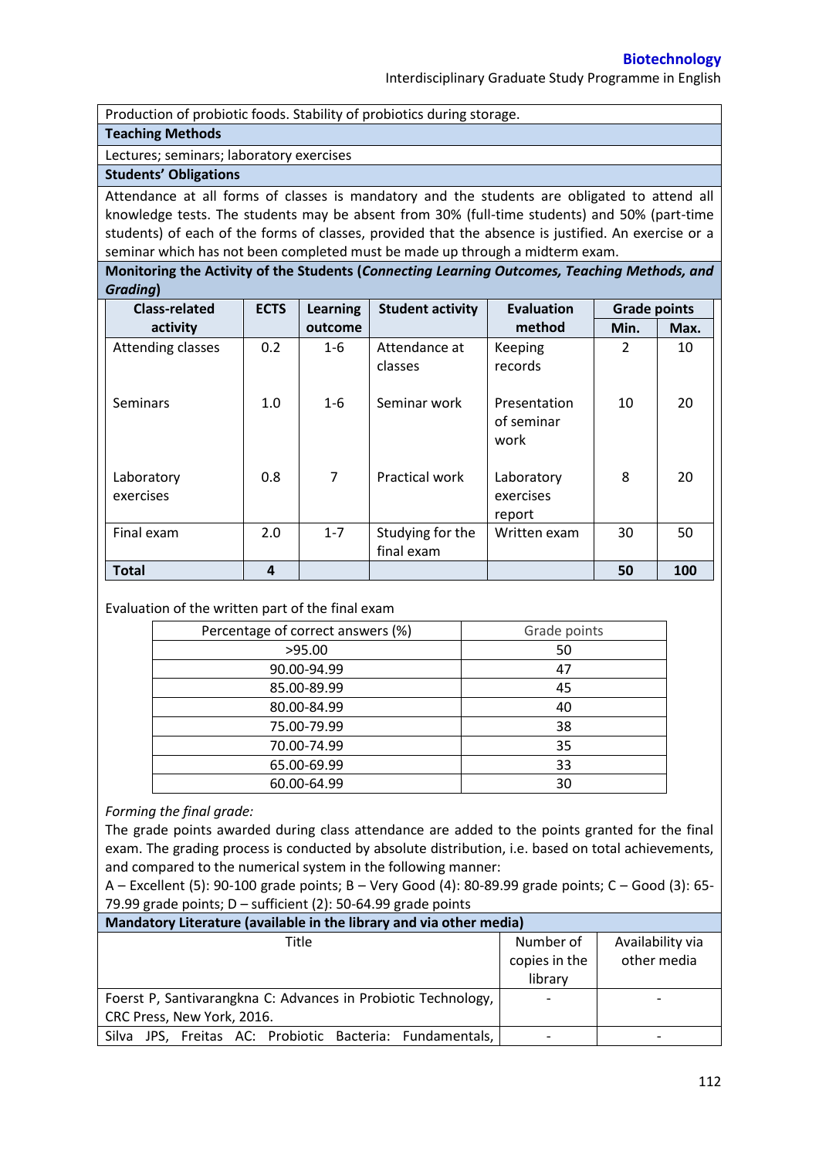Production of probiotic foods. Stability of probiotics during storage.

### **Teaching Methods**

Lectures; seminars; laboratory exercises

# **Students' Obligations**

Attendance at all forms of classes is mandatory and the students are obligated to attend all knowledge tests. The students may be absent from 30% (full-time students) and 50% (part-time students) of each of the forms of classes, provided that the absence is justified. An exercise or a seminar which has not been completed must be made up through a midterm exam.

**Monitoring the Activity of the Students (***Connecting Learning Outcomes, Teaching Methods, and Grading***)**

| <b>Class-related</b>    | <b>ECTS</b> | <b>Learning</b> | <b>Student activity</b>        | <b>Evaluation</b>                  | <b>Grade points</b> |      |
|-------------------------|-------------|-----------------|--------------------------------|------------------------------------|---------------------|------|
| activity                |             | outcome         |                                | method                             | Min.                | Max. |
| Attending classes       | 0.2         | $1 - 6$         | Attendance at<br>classes       | Keeping<br>records                 | $\overline{2}$      | 10   |
| <b>Seminars</b>         | 1.0         | $1 - 6$         | Seminar work                   | Presentation<br>of seminar<br>work | 10                  | 20   |
| Laboratory<br>exercises | 0.8         | 7               | Practical work                 | Laboratory<br>exercises<br>report  | 8                   | 20   |
| Final exam              | 2.0         | $1 - 7$         | Studying for the<br>final exam | Written exam                       | 30                  | 50   |
| <b>Total</b>            | 4           |                 |                                |                                    | 50                  | 100  |

### Evaluation of the written part of the final exam

| Percentage of correct answers (%) | Grade points |  |
|-----------------------------------|--------------|--|
| >95.00                            | 50           |  |
| 90.00-94.99                       | 47           |  |
| 85.00-89.99                       | 45           |  |
| 80.00-84.99                       | 40           |  |
| 75.00-79.99                       | 38           |  |
| 70.00-74.99                       | 35           |  |
| 65.00-69.99                       | 33           |  |
| 60.00-64.99                       | 30           |  |

## *Forming the final grade:*

The grade points awarded during class attendance are added to the points granted for the final exam. The grading process is conducted by absolute distribution, i.e. based on total achievements, and compared to the numerical system in the following manner:

A – Excellent (5): 90-100 grade points; B – Very Good (4): 80-89.99 grade points; C – Good (3): 65- 79.99 grade points;  $D$  – sufficient (2): 50-64.99 grade points

| Mandatory Literature (available in the library and via other media) |               |                  |  |  |
|---------------------------------------------------------------------|---------------|------------------|--|--|
| Title                                                               | Number of     | Availability via |  |  |
|                                                                     | copies in the | other media      |  |  |
|                                                                     | library       |                  |  |  |
| Foerst P, Santivarangkna C: Advances in Probiotic Technology,       |               |                  |  |  |
| CRC Press, New York, 2016.                                          |               |                  |  |  |
| JPS, Freitas AC: Probiotic Bacteria: Fundamentals,<br>Silva         |               |                  |  |  |